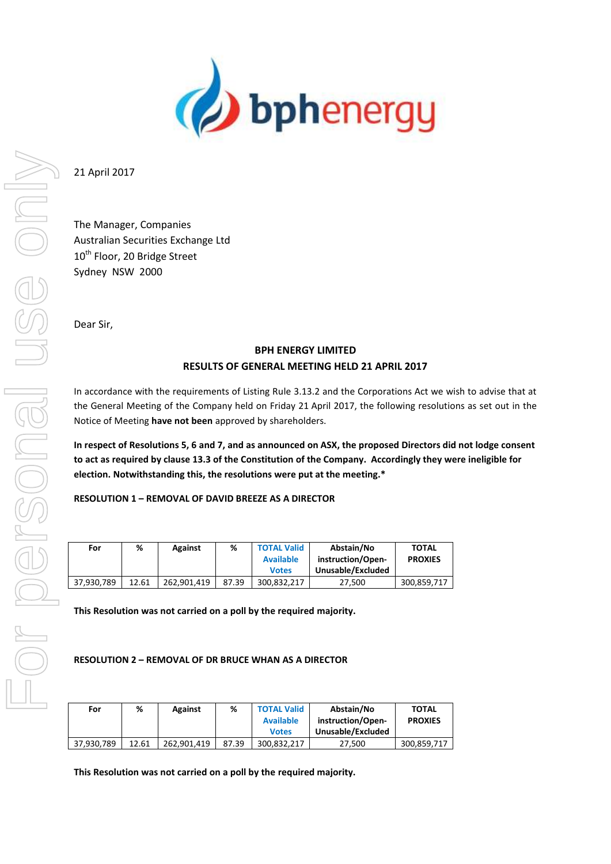

21 April 2017

The Manager, Companies Australian Securities Exchange Ltd 10<sup>th</sup> Floor, 20 Bridge Street Sydney NSW 2000

Dear Sir,

# **BPH ENERGY LIMITED RESULTS OF GENERAL MEETING HELD 21 APRIL 2017**

In accordance with the requirements of Listing Rule 3.13.2 and the Corporations Act we wish to advise that at the General Meeting of the Company held on Friday 21 April 2017, the following resolutions as set out in the Notice of Meeting **have not been** approved by shareholders.

**In respect of Resolutions 5, 6 and 7, and as announced on ASX, the proposed Directors did not lodge consent to act as required by clause 13.3 of the Constitution of the Company. Accordingly they were ineligible for election. Notwithstanding this, the resolutions were put at the meeting.\***

**RESOLUTION 1 – REMOVAL OF DAVID BREEZE AS A DIRECTOR**

| For        | %     | Against     | ℅     | <b>TOTAL Valid</b><br><b>Available</b> | Abstain/No<br>instruction/Open-<br>Unusable/Excluded | <b>TOTAL</b><br><b>PROXIES</b> |
|------------|-------|-------------|-------|----------------------------------------|------------------------------------------------------|--------------------------------|
|            |       |             |       | <b>Votes</b>                           |                                                      |                                |
| 37.930.789 | 12.61 | 262.901.419 | 87.39 | 300.832.217                            | 27.500                                               | 300,859,717                    |

**This Resolution was not carried on a poll by the required majority.**

**RESOLUTION 2 – REMOVAL OF DR BRUCE WHAN AS A DIRECTOR**

| For        | %     | Against     | %     | <b>TOTAL Valid</b> | Abstain/No        | TOTAL          |
|------------|-------|-------------|-------|--------------------|-------------------|----------------|
|            |       |             |       | <b>Available</b>   | instruction/Open- | <b>PROXIES</b> |
|            |       |             |       | <b>Votes</b>       | Unusable/Excluded |                |
| 37,930,789 | 12.61 | 262.901.419 | 87.39 | 300.832.217        | 27.500            | 300,859,717    |

**This Resolution was not carried on a poll by the required majority.**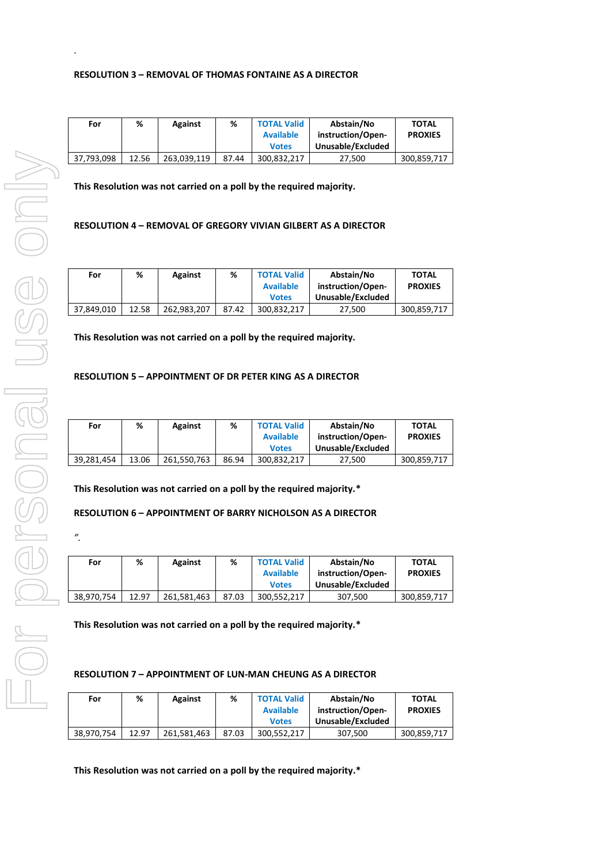| For        | %     | <b>Against</b> | %     | <b>TOTAL Valid</b><br><b>Available</b> | Abstain/No<br>instruction/Open- | <b>TOTAL</b><br><b>PROXIES</b> |
|------------|-------|----------------|-------|----------------------------------------|---------------------------------|--------------------------------|
|            |       |                |       | <b>Votes</b>                           | Unusable/Excluded               |                                |
| 37.793.098 | 12.56 | 263.039.119    | 87.44 | 300.832.217                            | 27.500                          | 300,859,717                    |

**This Resolution was not carried on a poll by the required majority.**

## **RESOLUTION 4 – REMOVAL OF GREGORY VIVIAN GILBERT AS A DIRECTOR**

| For        | %     | Against     | %     | <b>TOTAL Valid</b> | Abstain/No        | <b>TOTAL</b>   |
|------------|-------|-------------|-------|--------------------|-------------------|----------------|
|            |       |             |       | <b>Available</b>   | instruction/Open- | <b>PROXIES</b> |
|            |       |             |       | <b>Votes</b>       | Unusable/Excluded |                |
| 37.849.010 | 12.58 | 262.983.207 | 87.42 | 300.832.217        | 27.500            | 300.859.717    |

**This Resolution was not carried on a poll by the required majority.**

#### **RESOLUTION 5 – APPOINTMENT OF DR PETER KING AS A DIRECTOR**

| For        | %     | <b>Against</b> | ℅     | <b>TOTAL Valid</b> | Abstain/No        | <b>TOTAL</b>   |
|------------|-------|----------------|-------|--------------------|-------------------|----------------|
|            |       |                |       | <b>Available</b>   | instruction/Open- | <b>PROXIES</b> |
|            |       |                |       | <b>Votes</b>       | Unusable/Excluded |                |
| 39.281.454 | 13.06 | 261.550.763    | 86.94 | 300.832.217        | 27.500            | 300,859,717    |

**This Resolution was not carried on a poll by the required majority.\***

### **RESOLUTION 6 – APPOINTMENT OF BARRY NICHOLSON AS A DIRECTOR**

*".*

.

| For        | %     | Against     | %     | <b>TOTAL Valid</b> | Abstain/No        | <b>TOTAL</b>   |
|------------|-------|-------------|-------|--------------------|-------------------|----------------|
|            |       |             |       | <b>Available</b>   | instruction/Open- | <b>PROXIES</b> |
|            |       |             |       | <b>Votes</b>       | Unusable/Excluded |                |
| 38.970.754 | 12.97 | 261.581.463 | 87.03 | 300.552.217        | 307.500           | 300,859,717    |

**This Resolution was not carried on a poll by the required majority.\***

#### **RESOLUTION 7 – APPOINTMENT OF LUN-MAN CHEUNG AS A DIRECTOR**

| For        | %     | <b>Against</b> | %     | <b>TOTAL Valid</b> | Abstain/No        | <b>TOTAL</b>   |
|------------|-------|----------------|-------|--------------------|-------------------|----------------|
|            |       |                |       | <b>Available</b>   | instruction/Open- | <b>PROXIES</b> |
|            |       |                |       | <b>Votes</b>       | Unusable/Excluded |                |
| 38,970,754 | 12.97 | 261.581.463    | 87.03 | 300.552.217        | 307.500           | 300,859,717    |

**This Resolution was not carried on a poll by the required majority.\***